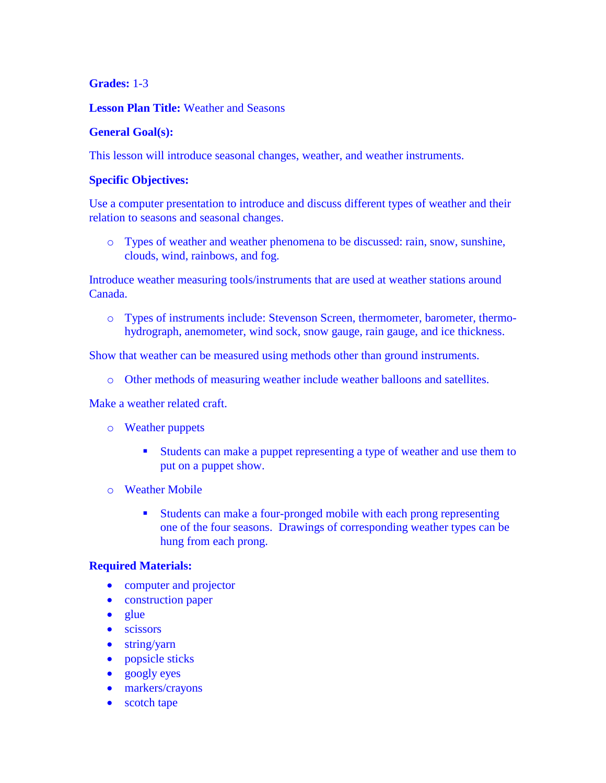# **Grades:** 1-3

# **Lesson Plan Title:** Weather and Seasons

# **General Goal(s):**

This lesson will introduce seasonal changes, weather, and weather instruments.

# **Specific Objectives:**

Use a computer presentation to introduce and discuss different types of weather and their relation to seasons and seasonal changes.

o Types of weather and weather phenomena to be discussed: rain, snow, sunshine, clouds, wind, rainbows, and fog.

Introduce weather measuring tools/instruments that are used at weather stations around Canada.

o Types of instruments include: Stevenson Screen, thermometer, barometer, thermohydrograph, anemometer, wind sock, snow gauge, rain gauge, and ice thickness.

Show that weather can be measured using methods other than ground instruments.

o Other methods of measuring weather include weather balloons and satellites.

Make a weather related craft.

- o Weather puppets
	- Students can make a puppet representing a type of weather and use them to put on a puppet show.
- o Weather Mobile
	- Students can make a four-pronged mobile with each prong representing one of the four seasons. Drawings of corresponding weather types can be hung from each prong.

### **Required Materials:**

- computer and projector
- construction paper
- $\bullet$  glue
- scissors
- string/yarn
- popsicle sticks
- googly eyes
- markers/crayons
- scotch tape